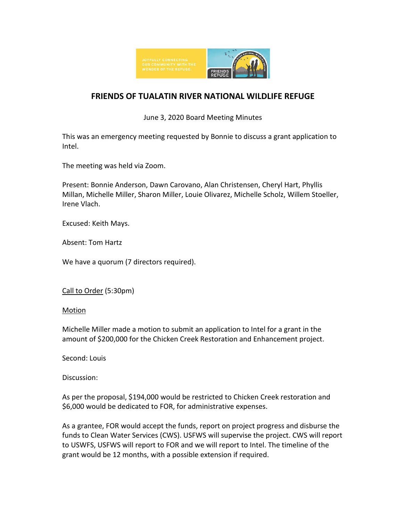

## **FRIENDS OF TUALATIN RIVER NATIONAL WILDLIFE REFUGE**

June 3, 2020 Board Meeting Minutes

This was an emergency meeting requested by Bonnie to discuss a grant application to Intel.

The meeting was held via Zoom.

Present: Bonnie Anderson, Dawn Carovano, Alan Christensen, Cheryl Hart, Phyllis Millan, Michelle Miller, Sharon Miller, Louie Olivarez, Michelle Scholz, Willem Stoeller, Irene Vlach.

Excused: Keith Mays.

Absent: Tom Hartz

We have a quorum (7 directors required).

Call to Order (5:30pm)

## **Motion**

Michelle Miller made a motion to submit an application to Intel for a grant in the amount of \$200,000 for the Chicken Creek Restoration and Enhancement project.

Second: Louis

Discussion:

As per the proposal, \$194,000 would be restricted to Chicken Creek restoration and \$6,000 would be dedicated to FOR, for administrative expenses.

As a grantee, FOR would accept the funds, report on project progress and disburse the funds to Clean Water Services (CWS). USFWS will supervise the project. CWS will report to USWFS, USFWS will report to FOR and we will report to Intel. The timeline of the grant would be 12 months, with a possible extension if required.